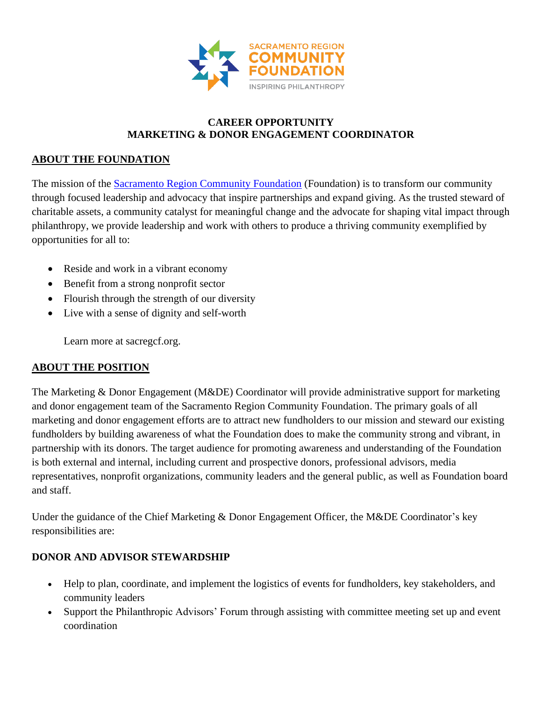

### **CAREER OPPORTUNITY MARKETING & DONOR ENGAGEMENT COORDINATOR**

## **ABOUT THE FOUNDATION**

The mission of the [Sacramento Region Community Foundation](http://www.sacregcf.org/) (Foundation) is to transform our community through focused leadership and advocacy that inspire partnerships and expand giving. As the trusted steward of charitable assets, a community catalyst for meaningful change and the advocate for shaping vital impact through philanthropy, we provide leadership and work with others to produce a thriving community exemplified by opportunities for all to:

- Reside and work in a vibrant economy
- Benefit from a strong nonprofit sector
- Flourish through the strength of our diversity
- Live with a sense of dignity and self-worth

Learn more at sacregcf.org.

### **ABOUT THE POSITION**

The Marketing & Donor Engagement (M&DE) Coordinator will provide administrative support for marketing and donor engagement team of the Sacramento Region Community Foundation. The primary goals of all marketing and donor engagement efforts are to attract new fundholders to our mission and steward our existing fundholders by building awareness of what the Foundation does to make the community strong and vibrant, in partnership with its donors. The target audience for promoting awareness and understanding of the Foundation is both external and internal, including current and prospective donors, professional advisors, media representatives, nonprofit organizations, community leaders and the general public, as well as Foundation board and staff.

Under the guidance of the Chief Marketing & Donor Engagement Officer, the M&DE Coordinator's key responsibilities are:

### **DONOR AND ADVISOR STEWARDSHIP**

- Help to plan, coordinate, and implement the logistics of events for fundholders, key stakeholders, and community leaders
- Support the Philanthropic Advisors' Forum through assisting with committee meeting set up and event coordination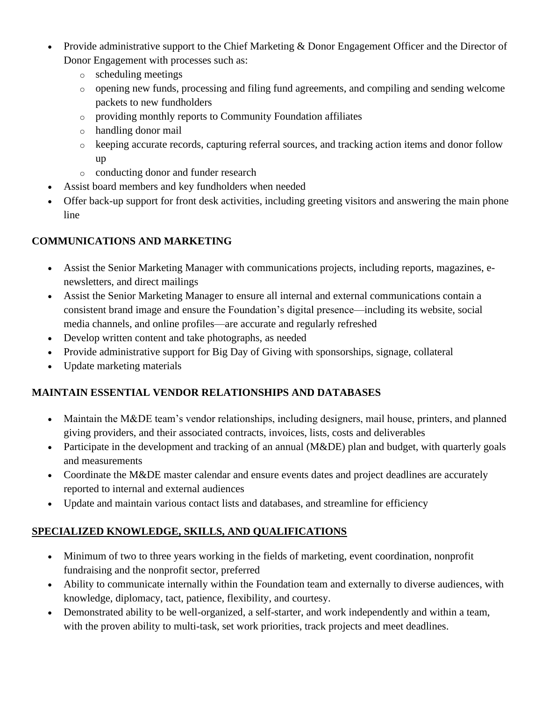- Provide administrative support to the Chief Marketing & Donor Engagement Officer and the Director of Donor Engagement with processes such as:
	- o scheduling meetings
	- o opening new funds, processing and filing fund agreements, and compiling and sending welcome packets to new fundholders
	- o providing monthly reports to Community Foundation affiliates
	- o handling donor mail
	- o keeping accurate records, capturing referral sources, and tracking action items and donor follow up
	- o conducting donor and funder research
- Assist board members and key fundholders when needed
- Offer back-up support for front desk activities, including greeting visitors and answering the main phone line

# **COMMUNICATIONS AND MARKETING**

- Assist the Senior Marketing Manager with communications projects, including reports, magazines, enewsletters, and direct mailings
- Assist the Senior Marketing Manager to ensure all internal and external communications contain a consistent brand image and ensure the Foundation's digital presence—including its website, social media channels, and online profiles—are accurate and regularly refreshed
- Develop written content and take photographs, as needed
- Provide administrative support for Big Day of Giving with sponsorships, signage, collateral
- Update marketing materials

## **MAINTAIN ESSENTIAL VENDOR RELATIONSHIPS AND DATABASES**

- Maintain the M&DE team's vendor relationships, including designers, mail house, printers, and planned giving providers, and their associated contracts, invoices, lists, costs and deliverables
- Participate in the development and tracking of an annual (M&DE) plan and budget, with quarterly goals and measurements
- Coordinate the M&DE master calendar and ensure events dates and project deadlines are accurately reported to internal and external audiences
- Update and maintain various contact lists and databases, and streamline for efficiency

## **SPECIALIZED KNOWLEDGE, SKILLS, AND QUALIFICATIONS**

- Minimum of two to three years working in the fields of marketing, event coordination, nonprofit fundraising and the nonprofit sector, preferred
- Ability to communicate internally within the Foundation team and externally to diverse audiences, with knowledge, diplomacy, tact, patience, flexibility, and courtesy.
- Demonstrated ability to be well-organized, a self-starter, and work independently and within a team, with the proven ability to multi-task, set work priorities, track projects and meet deadlines.